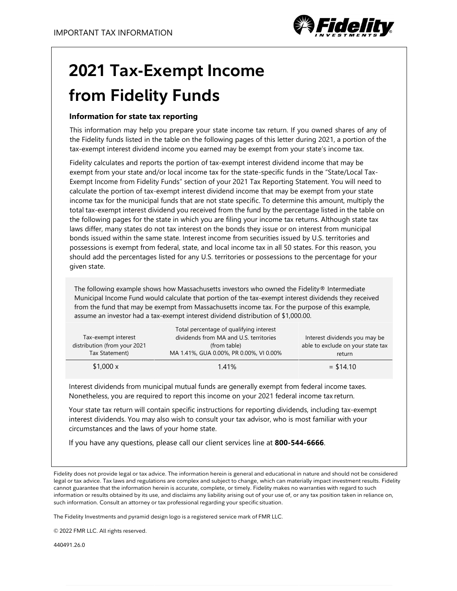

## **2021 Tax-Exempt Income from Fidelity Funds**

## **Information for state tax reporting**

This information may help you prepare your state income tax return. If you owned shares of any of the Fidelity funds listed in the table on the following pages of this letter during 2021, a portion of the tax-exempt interest dividend income you earned may be exempt from your state's income tax.

Fidelity calculates and reports the portion of tax-exempt interest dividend income that may be exempt from your state and/or local income tax for the state-specific funds in the "State/Local Tax-Exempt Income from Fidelity Funds" section of your 2021 Tax Reporting Statement. You will need to calculate the portion of tax-exempt interest dividend income that may be exempt from your state income tax for the municipal funds that are not state specific. To determine this amount, multiply the total tax-exempt interest dividend you received from the fund by the percentage listed in the table on the following pages for the state in which you are filing your income tax returns. Although state tax laws differ, many states do not tax interest on the bonds they issue or on interest from municipal bonds issued within the same state. Interest income from securities issued by U.S. territories and possessions is exempt from federal, state, and local income tax in all 50 states. For this reason, you should add the percentages listed for any U.S. territories or possessions to the percentage for your given state.

The following example shows how Massachusetts investors who owned the Fidelity® Intermediate Municipal Income Fund would calculate that portion of the tax-exempt interest dividends they received from the fund that may be exempt from Massachusetts income tax. For the purpose of this example, assume an investor had a tax-exempt interest dividend distribution of \$1,000.00.

| Tax-exempt interest<br>distribution (from your 2021<br>Tax Statement) | Total percentage of qualifying interest<br>dividends from MA and U.S. territories<br>(from table)<br>MA 1.41%, GUA 0.00%, PR 0.00%, VI 0.00% | Interest dividends you may be<br>able to exclude on your state tax<br>return |
|-----------------------------------------------------------------------|----------------------------------------------------------------------------------------------------------------------------------------------|------------------------------------------------------------------------------|
| \$1,000 x                                                             | 1.41%                                                                                                                                        | $=$ \$14.10                                                                  |

Interest dividends from municipal mutual funds are generally exempt from federal income taxes. Nonetheless, you are required to report this income on your 2021 federal income tax return.

Your state tax return will contain specific instructions for reporting dividends, including tax-exempt interest dividends. You may also wish to consult your tax advisor, who is most familiar with your circumstances and the laws of your home state.

If you have any questions, please call our client services line at **800-544-6666**.

Fidelity does not provide legal or tax advice. The information herein is general and educational in nature and should not be considered legal or tax advice. Tax laws and regulations are complex and subject to change, which can materially impact investment results. Fidelity cannot guarantee that the information herein is accurate, complete, or timely. Fidelity makes no warranties with regard to such information or results obtained by its use, and disclaims any liability arising out of your use of, or any tax position taken in reliance on, such information. Consult an attorney or tax professional regarding your specific situation.

The Fidelity Investments and pyramid design logo is a registered service mark of FMR LLC.

© 2022 FMR LLC. All rights reserved.

440491.26.0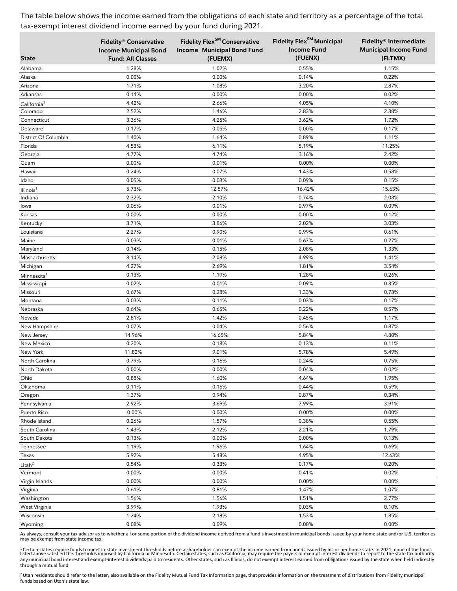| <b>State</b>                        | Fidelity® Conservative<br><b>Income Municipal Bond</b><br><b>Fund: All Classes</b> | Fidelity Flex <sup>SM</sup> Conservative<br>Income Municipal Bond Fund<br>(FUEMX) | Fidelity Flex <sup>SM</sup> Municipal<br><b>Income Fund</b><br>(FUENX) | Fidelity® Intermediate<br><b>Municipal Income Fund</b><br>(FLTMX) |
|-------------------------------------|------------------------------------------------------------------------------------|-----------------------------------------------------------------------------------|------------------------------------------------------------------------|-------------------------------------------------------------------|
|                                     |                                                                                    |                                                                                   |                                                                        |                                                                   |
| Alabama                             | 1.28%                                                                              | 1.02%                                                                             | 0.55%                                                                  | 1.15%                                                             |
| Alaska                              | 0.00%<br>1.71%                                                                     | 0.00%                                                                             | 0.14%<br>3.20%                                                         | 0.22%                                                             |
| Arizona                             | 0.14%                                                                              | 1.08%<br>0.00%                                                                    | 0.00%                                                                  | 2.87%<br>0.02%                                                    |
| Arkansas                            | 4.42%                                                                              | 2.66%                                                                             | 4.05%                                                                  | 4.10%                                                             |
| California <sup>1</sup><br>Colorado | 2.52%                                                                              | 1.46%                                                                             | 2.83%                                                                  | 2.38%                                                             |
| Connecticut                         | 3.36%                                                                              | 4.25%                                                                             | 3.62%                                                                  | 1.72%                                                             |
| Delaware                            | 0.17%                                                                              | 0.05%                                                                             | 0.00%                                                                  | 0.17%                                                             |
| District Of Columbia                | 1.40%                                                                              | 1.64%                                                                             | 0.89%                                                                  | 1.11%                                                             |
| Florida                             | 4.53%                                                                              | 6.11%                                                                             | 5.19%                                                                  | 11.25%                                                            |
| Georgia                             | 4.77%                                                                              | 4.74%                                                                             | 3.16%                                                                  | 2.42%                                                             |
| Guam                                | 0.00%                                                                              | 0.01%                                                                             | 0.00%                                                                  | 0.00%                                                             |
| Hawaii                              | 0.24%                                                                              | 0.07%                                                                             | 1.43%                                                                  | 0.58%                                                             |
| Idaho                               | 0.05%                                                                              | 0.03%                                                                             | 0.09%                                                                  | 0.15%                                                             |
| Illinois <sup>1</sup>               | 5.73%                                                                              | 12.57%                                                                            | 16.42%                                                                 | 15.63%                                                            |
| Indiana                             | 2.32%                                                                              | 2.10%                                                                             | 0.74%                                                                  | 2.08%                                                             |
| lowa                                | 0.06%                                                                              | 0.01%                                                                             | 0.97%                                                                  | 0.09%                                                             |
| Kansas                              | 0.00%                                                                              | 0.00%                                                                             | 0.00%                                                                  | 0.12%                                                             |
| Kentucky                            | 3.71%                                                                              | 3.86%                                                                             | 2.02%                                                                  | 3.03%                                                             |
| Louisiana                           | 2.27%                                                                              | 0.90%                                                                             | 0.99%                                                                  | 0.61%                                                             |
| Maine                               | 0.03%                                                                              | 0.01%                                                                             | 0.67%                                                                  | 0.27%                                                             |
| Maryland                            | 0.14%                                                                              | 0.15%                                                                             | 2.08%                                                                  | 1.33%                                                             |
| Massachusetts                       | 3.14%                                                                              | 2.08%                                                                             | 4.99%                                                                  | 1.41%                                                             |
| Michigan                            | 4.27%                                                                              | 2.69%                                                                             | 1.81%                                                                  | 3.54%                                                             |
| Minnesota <sup>1</sup>              | 0.13%                                                                              | 1.19%                                                                             | 1.28%                                                                  | 0.26%                                                             |
| Mississippi                         | 0.02%                                                                              | 0.01%                                                                             | 0.09%                                                                  | 0.35%                                                             |
| Missouri                            | 0.67%                                                                              | 0.28%                                                                             | 1.33%                                                                  | 0.73%                                                             |
| Montana                             | 0.03%                                                                              | 0.11%                                                                             | 0.03%                                                                  | 0.17%                                                             |
| Nebraska                            | 0.64%                                                                              | 0.65%                                                                             | 0.22%                                                                  | 0.57%                                                             |
| Nevada                              | 2.81%                                                                              | 1.42%                                                                             | 0.45%                                                                  | 1.17%                                                             |
| New Hampshire                       | 0.07%                                                                              | 0.04%                                                                             | 0.56%                                                                  | 0.87%                                                             |
| New Jersey                          | 14.96%                                                                             | 16.65%                                                                            | 5.84%                                                                  | 4.80%                                                             |
| New Mexico                          | 0.20%                                                                              | 0.18%                                                                             | 0.13%                                                                  | 0.11%                                                             |
| New York                            | 11.82%                                                                             | 9.01%                                                                             | 5.78%                                                                  | 5.49%                                                             |
| North Carolina                      | 0.79%                                                                              | 0.16%                                                                             | 0.24%                                                                  | 0.75%                                                             |
| North Dakota                        | 0.00%                                                                              | 0.00%                                                                             | 0.04%                                                                  | 0.02%                                                             |
| Ohio                                | 0.88%                                                                              | 1.60%                                                                             | 4.64%                                                                  | 1.95%                                                             |
| Oklahoma                            | 0.11%                                                                              | 0.16%                                                                             | 0.44%                                                                  | 0.59%                                                             |
| Oregon                              | 1.37%                                                                              | 0.94%                                                                             | 0.87%                                                                  | 0.34%                                                             |
| Pennsylvania                        | 2.92%                                                                              | 3.69%                                                                             | 7.99%                                                                  | 3.91%                                                             |
| Puerto Rico                         | 0.00%                                                                              | 0.00%                                                                             | 0.00%                                                                  | 0.00%                                                             |
| Rhode Island                        | 0.26%                                                                              | 1.57%                                                                             | 0.38%                                                                  | 0.55%                                                             |
| South Carolina                      | 1.43%                                                                              | 2.12%                                                                             | 2.21%                                                                  | 1.79%                                                             |
| South Dakota                        | 0.13%                                                                              | 0.00%                                                                             | 0.00%                                                                  | 0.13%                                                             |
| Tennessee                           | 1.19%                                                                              | 1.96%                                                                             | 1.64%                                                                  | 0.69%                                                             |
| Texas                               | 5.92%                                                                              | 5.48%                                                                             | 4.95%                                                                  | 12.63%                                                            |
| Utah <sup>2</sup>                   | 0.54%                                                                              | 0.33%                                                                             | 0.17%                                                                  | 0.20%                                                             |
| Vermont                             | 0.00%                                                                              | 0.00%                                                                             | 0.41%                                                                  | 0.02%                                                             |
| Virgin Islands                      | 0.00%                                                                              | 0.00%                                                                             | 0.00%                                                                  | 0.00%                                                             |
| Virginia                            | 0.61%                                                                              | 0.81%                                                                             | 1.47%                                                                  | 1.07%                                                             |
| Washington                          | 1.56%                                                                              | 1.56%                                                                             | 1.51%                                                                  | 2.77%                                                             |
| West Virginia                       | 3.99%                                                                              | 1.93%                                                                             | 0.03%                                                                  | 0.10%                                                             |
| Wisconsin                           | 1.24%                                                                              | 2.18%                                                                             | 1.53%                                                                  | 1.85%                                                             |
| Wyoming                             | 0.08%                                                                              | 0.09%                                                                             | 0.00%                                                                  | 0.00%                                                             |

As always, consult your tax advisor as to whether all or some portion of the dividend income derived from a fund's investment in municipal bonds issued by your home state and/or U.S. territories may be exempt from state income tax.

<sup>1</sup>Certain states require funds to meet in-state investment thresholds before a shareholder can exempt the income earned from bonds issued by his or her home state. In 2021, none of the funds<br>listed above satisfied the thr through a mutual fund.

<sup>2</sup> Utah residents should refer to the letter, also available on the Fidelity Mutual Fund Tax Information page, that provides information on the treatment of distributions from Fidelity municipal funds based on Utah's state law.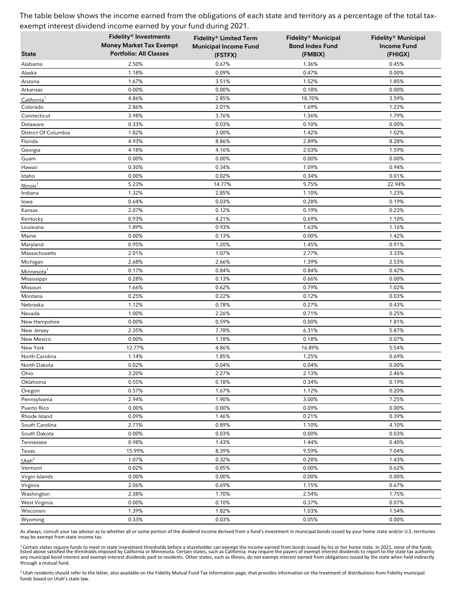|                         | Fidelity® Investments                                           | Fidelity® Limited Term                  | Fidelity® Municipal               | <b>Fidelity® Municipal</b>    |
|-------------------------|-----------------------------------------------------------------|-----------------------------------------|-----------------------------------|-------------------------------|
| <b>State</b>            | <b>Money Market Tax Exempt</b><br><b>Portfolio: All Classes</b> | <b>Municipal Income Fund</b><br>(FSTFX) | <b>Bond Index Fund</b><br>(FMBIX) | <b>Income Fund</b><br>(FHIGX) |
| Alabama                 | 2.50%                                                           | 0.67%                                   | 1.36%                             | 0.45%                         |
| Alaska                  | 1.18%                                                           | 0.09%                                   | 0.47%                             | 0.00%                         |
| Arizona                 | 1.67%                                                           | 3.51%                                   | 1.52%                             | 1.85%                         |
| Arkansas                | 0.00%                                                           | 0.00%                                   | 0.18%                             | 0.00%                         |
| California <sup>1</sup> | 4.86%                                                           | 2.85%                                   | 18.70%                            | 3.59%                         |
| Colorado                | 2.86%                                                           | 2.01%                                   | 1.69%                             | 1.22%                         |
| Connecticut             | 3.98%                                                           | 3.76%                                   | 1.36%                             | 1.79%                         |
| Delaware                | 0.33%                                                           | 0.03%                                   | 0.10%                             | 0.00%                         |
| District Of Columbia    | 1.82%                                                           | 2.00%                                   | 1.42%                             | 1.02%                         |
| Florida                 | 4.93%                                                           | 8.86%                                   | 2.89%                             | 8.28%                         |
| Georgia                 | 4.18%                                                           | 4.16%                                   | 2.03%                             | 1.59%                         |
| Guam                    | 0.00%                                                           | 0.00%                                   | 0.00%                             | 0.00%                         |
| Hawaii                  | 0.30%                                                           | 0.34%                                   | 1.09%                             | 0.94%                         |
| Idaho                   | 0.00%                                                           | 0.02%                                   | 0.34%                             | 0.01%                         |
| Illinois <sup>1</sup>   | 5.23%                                                           | 14.77%                                  | 5.75%                             | 22.94%                        |
| Indiana                 | 1.32%                                                           | 2.85%                                   | 1.10%                             | 1.23%                         |
| lowa                    | 0.64%                                                           | 0.03%                                   | 0.28%                             | 0.19%                         |
| Kansas                  | 2.07%                                                           | 0.12%                                   | 0.19%                             | 0.23%                         |
| Kentucky                | 0.93%                                                           | 4.21%                                   | 0.69%                             | 1.10%                         |
| Louisiana               | 1.89%                                                           | 0.93%                                   | 1.63%                             | 1.16%                         |
| Maine                   | 0.00%                                                           | 0.13%                                   | 0.00%                             | 1.42%                         |
| Maryland                | 0.95%                                                           | 1.20%                                   | 1.45%                             | 0.91%                         |
| Massachusetts           | 2.01%                                                           | 1.07%                                   | 2.77%                             | 3.33%                         |
| Michigan                | 2.68%                                                           | 2.66%                                   | 1.39%                             | 2.53%                         |
| Minnesota <sup>1</sup>  | 0.17%                                                           | 0.84%                                   | 0.84%                             | 0.42%                         |
| Mississippi             | 0.28%                                                           | 0.13%                                   | 0.66%                             | 0.00%                         |
| Missouri                | 1.66%                                                           | 0.62%                                   | 0.79%                             | 1.02%                         |
| Montana                 | 0.25%                                                           | 0.22%                                   | 0.12%                             | 0.03%                         |
| Nebraska                | 1.12%                                                           | 0.78%                                   | 0.27%                             | 0.43%                         |
| Nevada                  | 1.00%                                                           | 2.26%                                   | 0.71%                             | 0.25%                         |
| New Hampshire           | 0.00%                                                           | 0.59%                                   | 0.00%                             | 1.81%                         |
| New Jersey              | 2.35%                                                           | 7.78%                                   | 6.31%                             | 5.87%                         |
| New Mexico              | 0.00%                                                           | 1.18%                                   | 0.18%                             | 0.07%                         |
| New York                | 12.77%                                                          | 4.86%                                   | 16.89%                            | 5.54%                         |
| North Carolina          | 1.14%                                                           | 1.85%                                   | 1.25%                             | 0.69%                         |
| North Dakota            | 0.02%                                                           | 0.04%                                   | 0.04%                             | 0.00%                         |
| Ohio                    | 3.20%                                                           | 2.27%                                   | 2.13%                             | 2.46%                         |
| Oklahoma                | 0.55%                                                           | 0.18%                                   | 0.34%                             | 0.19%                         |
| Oregon                  | 0.57%                                                           | 1.67%                                   | 1.12%                             | 0.20%                         |
| Pennsylvania            | 2.94%                                                           | 1.90%                                   | 3.00%                             | 7.25%                         |
| Puerto Rico             | 0.00%                                                           | 0.00%                                   | 0.09%                             | 0.00%                         |
| Rhode Island            | 0.09%                                                           | 1.46%                                   | 0.21%                             | 0.39%                         |
| South Carolina          | 2.71%                                                           | 0.89%                                   | 1.10%                             | 4.10%                         |
| South Dakota            | 0.00%                                                           | 0.03%                                   | 0.00%                             | 0.03%                         |
| Tennessee               | 0.98%                                                           | 1.43%                                   | 1.44%                             | 0.40%                         |
| Texas                   | 15.99%                                                          | 8.39%                                   | 9.59%                             | 7.04%                         |
| Utah <sup>2</sup>       | 1.07%                                                           | 0.32%                                   | 0.28%                             | 1.43%                         |
| Vermont                 | 0.02%                                                           | 0.05%                                   | 0.00%                             | 0.62%                         |
| Virgin Islands          | 0.00%                                                           | 0.00%                                   | 0.00%                             | 0.00%                         |
| Virginia                | 2.06%                                                           | 0.69%                                   | 1.15%                             | 0.67%                         |
| Washington              | 2.38%                                                           | 1.70%                                   | 2.54%                             | 1.75%                         |
| West Virginia           | 0.00%                                                           | 0.10%                                   | 0.37%                             | 0.07%                         |
| Wisconsin               | 1.39%                                                           | 1.82%                                   | 1.03%                             | 1.54%                         |
| Wyoming                 | 0.33%                                                           | 0.03%                                   | 0.05%                             | 0.00%                         |

As always, consult your tax advisor as to whether all or some portion of the dividend income derived from a fund's investment in municipal bonds issued by your home state and/or U.S. territories may be exempt from state income tax.

<sup>1</sup>Certain states require funds to meet in-state investment thresholds before a shareholder can exempt the income earned from bonds issued by his or her home state. In 2021, none of the funds<br>listed above satisfied the thr through a mutual fund.

<sup>2</sup> Utah residents should refer to the letter, also available on the Fidelity Mutual Fund Tax Information page, that provides information on the treatment of distributions from Fidelity municipal funds based on Utah's state law.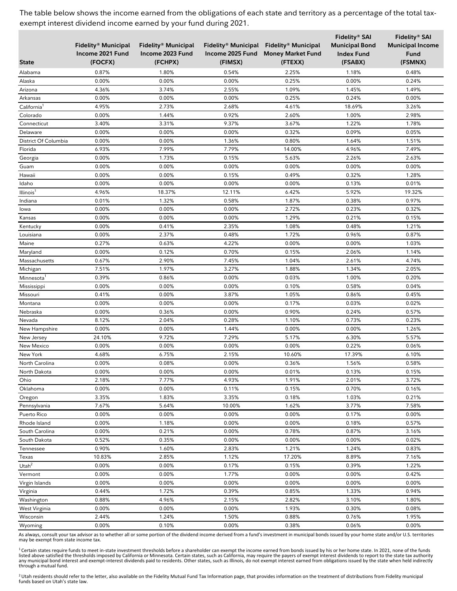|                                    |                     |                     |                |                                         | Fidelity® SAI         | Fidelity® SAI           |
|------------------------------------|---------------------|---------------------|----------------|-----------------------------------------|-----------------------|-------------------------|
|                                    | Fidelity® Municipal | Fidelity® Municipal |                | Fidelity® Municipal Fidelity® Municipal | <b>Municipal Bond</b> | <b>Municipal Income</b> |
|                                    | Income 2021 Fund    | Income 2023 Fund    |                | Income 2025 Fund Money Market Fund      | <b>Index Fund</b>     | Fund                    |
| <b>State</b>                       | (FOCFX)             | (FCHPX)             | (FIMSX)        | (FTEXX)                                 | (FSABX)               | (FSMNX)                 |
| Alabama                            | 0.87%               | 1.80%               | 0.54%          | 2.25%                                   | 1.18%                 | 0.48%                   |
| Alaska                             | 0.00%               | 0.00%               | 0.00%          | 0.25%                                   | 0.00%                 | 0.24%                   |
| Arizona                            | 4.36%               | 3.74%               | 2.55%          | 1.09%                                   | 1.45%                 | 1.49%                   |
| Arkansas                           | 0.00%               | 0.00%               | 0.00%          | 0.25%                                   | 0.24%                 | 0.00%                   |
| California <sup>1</sup>            | 4.95%               | 2.73%               | 2.68%          | 4.61%                                   | 18.69%                | 3.26%                   |
| Colorado                           | 0.00%               | 1.44%               | 0.92%          | 2.60%                                   | 1.00%                 | 2.98%                   |
| Connecticut                        | 3.40%               | 3.31%               | 9.37%          | 3.67%                                   | 1.22%                 | 1.78%                   |
| Delaware                           | 0.00%               | 0.00%               | 0.00%          | 0.32%                                   | 0.09%                 | 0.05%                   |
| District Of Columbia               | 0.00%               | 0.00%               | 1.36%          | 0.80%                                   | 1.64%                 | 1.51%                   |
| Florida                            | 6.93%               | 7.99%               | 7.79%          | 14.00%                                  | 4.96%                 | 7.49%                   |
| Georgia                            | 0.00%               | 1.73%               | 0.15%          | 5.63%                                   | 2.26%                 | 2.63%                   |
| Guam                               | 0.00%               | 0.00%               | 0.00%          | 0.00%                                   | 0.00%                 | 0.00%                   |
| Hawaii                             | 0.00%               | 0.00%               | 0.15%          | 0.49%                                   | 0.32%                 | 1.28%                   |
| Idaho                              | 0.00%               | 0.00%               | 0.00%          | 0.00%                                   | 0.13%                 | 0.01%                   |
| Illinois <sup>1</sup>              | 4.96%               | 18.37%              | 12.11%         | 6.42%                                   | 5.92%                 | 19.32%                  |
| Indiana                            | 0.01%               | 1.32%               | 0.58%          | 1.87%                                   | 0.38%                 | 0.97%                   |
| lowa                               | 0.00%               | 0.00%               | 0.00%          | 2.72%                                   | 0.23%                 | 0.32%                   |
| Kansas                             | 0.00%               | 0.00%               | 0.00%          | 1.29%                                   | 0.21%                 | 0.15%                   |
| Kentucky                           | 0.00%               | 0.41%               | 2.35%          | 1.08%                                   | 0.48%                 | 1.21%                   |
| Louisiana                          | 0.00%               | 2.37%               | 0.48%          | 1.72%                                   | 0.96%                 | 0.87%                   |
| Maine                              | 0.27%               | 0.63%               | 4.22%          | 0.00%                                   | 0.00%                 | 1.03%                   |
| Maryland                           | 0.00%               | 0.12%               | 0.70%          | 0.15%                                   | 2.06%                 | 1.14%                   |
| Massachusetts                      | 0.67%<br>7.51%      | 2.90%<br>1.97%      | 7.45%<br>3.27% | 1.04%<br>1.88%                          | 2.61%<br>1.34%        | 4.74%<br>2.05%          |
| Michigan<br>Minnesota <sup>1</sup> | 0.39%               | 0.86%               | 0.00%          | 0.03%                                   | 1.00%                 | 0.20%                   |
| Mississippi                        | 0.00%               | 0.00%               | 0.00%          | 0.10%                                   | 0.58%                 | 0.04%                   |
| Missouri                           | 0.41%               | 0.00%               | 3.87%          | 1.05%                                   | 0.86%                 | 0.45%                   |
| Montana                            | 0.00%               | 0.00%               | 0.00%          | 0.17%                                   | 0.03%                 | 0.02%                   |
| Nebraska                           | 0.00%               | 0.36%               | 0.00%          | 0.90%                                   | 0.24%                 | 0.57%                   |
| Nevada                             | 8.12%               | 2.04%               | 0.28%          | 1.10%                                   | 0.73%                 | 0.23%                   |
| New Hampshire                      | 0.00%               | 0.00%               | 1.44%          | 0.00%                                   | 0.00%                 | 1.26%                   |
| New Jersey                         | 24.10%              | 9.72%               | 7.29%          | 5.17%                                   | 6.30%                 | 5.57%                   |
| New Mexico                         | 0.00%               | 0.00%               | 0.00%          | 0.00%                                   | 0.22%                 | 0.06%                   |
| New York                           | 4.68%               | 6.75%               | 2.15%          | 10.60%                                  | 17.39%                | 6.10%                   |
| North Carolina                     | 0.00%               | 0.08%               | 0.00%          | 0.36%                                   | 1.56%                 | 0.58%                   |
| North Dakota                       | 0.00%               | 0.00%               | 0.00%          | 0.01%                                   | 0.13%                 | 0.15%                   |
| Ohio                               | 2.18%               | 7.77%               | 4.93%          | 1.91%                                   | 2.01%                 | 3.72%                   |
| Oklahoma                           | 0.00%               | 0.00%               | 0.11%          | 0.15%                                   | 0.70%                 | 0.16%                   |
| Oregon                             | 3.35%               | 1.83%               | 3.35%          | 0.18%                                   | 1.03%                 | 0.21%                   |
| Pennsylvania                       | 7.67%               | 5.64%               | 10.00%         | 1.62%                                   | 3.77%                 | 7.58%                   |
| Puerto Rico                        | 0.00%               | 0.00%               | 0.00%          | 0.00%                                   | 0.17%                 | 0.00%                   |
| Rhode Island                       | 0.00%               | 1.18%               | 0.00%          | 0.00%                                   | 0.18%                 | 0.57%                   |
| South Carolina                     | 0.00%               | 0.21%               | 0.00%          | 0.78%                                   | 0.87%                 | 3.16%                   |
| South Dakota                       | 0.52%               | 0.35%               | 0.00%          | 0.00%                                   | 0.00%                 | 0.02%                   |
| Tennessee                          | 0.90%               | 1.60%               | 2.83%          | 1.21%                                   | 1.24%                 | 0.83%                   |
| Texas                              | 10.83%              | 2.85%               | 1.12%          | 17.20%                                  | 8.89%                 | 7.16%                   |
| Utah <sup>2</sup>                  | 0.00%               | 0.00%               | 0.17%          | 0.15%                                   | 0.39%                 | 1.22%                   |
| Vermont                            | 0.00%               | 0.00%               | 1.77%          | 0.00%                                   | 0.00%                 | 0.42%                   |
| Virgin Islands                     | 0.00%               | 0.00%               | 0.00%          | 0.00%                                   | 0.00%                 | 0.00%                   |
| Virginia                           | 0.44%               | 1.72%               | 0.39%          | 0.85%                                   | 1.33%                 | 0.94%                   |
| Washington                         | 0.88%               | 4.96%               | 2.15%          | 2.82%                                   | 3.10%                 | 1.80%                   |
| West Virginia                      | 0.00%               | 0.00%               | 0.00%          | 1.93%                                   | 0.30%                 | 0.08%                   |
| Wisconsin                          | 2.44%               | 1.24%               | 1.50%          | 0.88%                                   | 0.76%                 | 1.95%                   |
| Wyoming                            | 0.00%               | 0.10%               | 0.00%          | 0.38%                                   | 0.06%                 | 0.00%                   |

As always, consult your tax advisor as to whether all or some portion of the dividend income derived from a fund's investment in municipal bonds issued by your home state and/or U.S. territories may be exempt from state income tax.

<sup>1</sup> Certain states require funds to meet in-state investment thresholds before a shareholder can exempt the income earned from bonds issued by his or her home state. In 2021, none of the funds listed above satisfied the thresholds imposed by California or Minnesota. Certain states, such as California, may require the payers of exempt interest dividends to report to the state tax authority<br>any municipal bond inte

<sup>2</sup> Utah residents should refer to the letter, also available on the Fidelity Mutual Fund Tax Information page, that provides information on the treatment of distributions from Fidelity municipal funds based on Utah's state law.